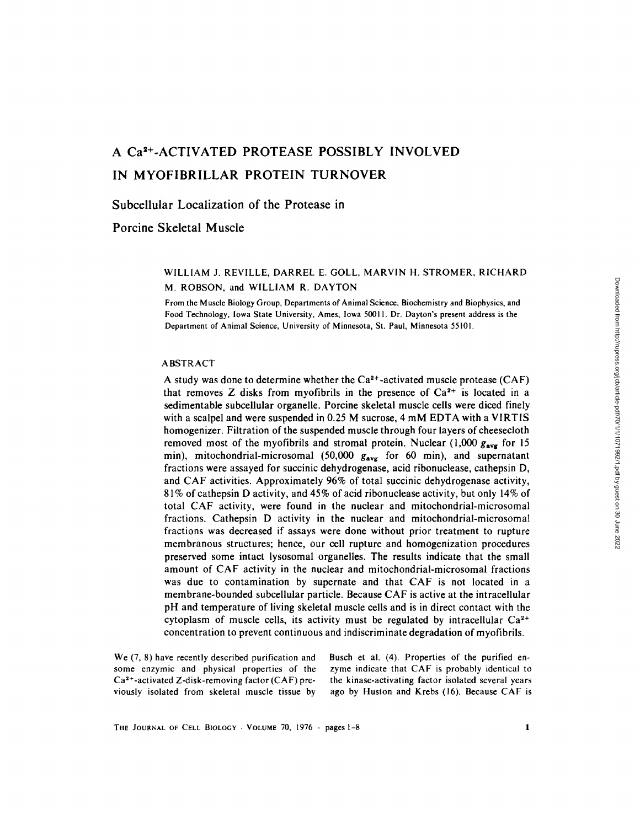# A Ca<sup>2+</sup>-ACTIVATED PROTEASE POSSIBLY INVOLVED IN MYOFIBRILLAR PROTEIN TURNOVER

# Subcellular Localization of the Protease in

# Porcine Skeletal Muscle

# WILLIAM J. REVILLE, DARREL E. GOLL, MARVIN H. STROMER, RICHARD M. ROBSON, and WILLIAM R, DAYTON

From the Muscle Biology Group, Departments of Animal Science, Biochemistry and Biophysics, and Food Technology, Iowa State University, Ames, Iowa 50011. Dr. Dayton's present address is the Department of Animal Science, University of Minnesota, St. Paul, Minnesota 55101.

### ABSTRACT

A study was done to determine whether the  $Ca^{2+}$ -activated muscle protease (CAF) that removes Z disks from myofibrils in the presence of  $Ca<sup>2+</sup>$  is located in a sedimentable subcellular organelle. Porcine skeletal muscle cells were diced finely with a scalpel and were suspended in 0.25 M sucrose, 4 mM EDTA with a VIRTIS homogenizer. Filtration of the suspended muscle through four layers of cheesecloth removed most of the myofibrils and stromal protein. Nuclear  $(1,000 g_{\text{avg}}$  for 15 min), mitochondrial-microsomal (50,000  $g_{avg}$  for 60 min), and supernatant fractions were assayed for succinic dehydrogenase, acid ribonuclease, cathepsin D, and CAF activities. Approximately 96% of total succinic dehydrogenase activity, 81% of cathepsin D activity, and 45% of acid ribonuclease activity, but only 14% of total CAF activity, were found in the nuclear and mitochondrial-microsomal fractions. Cathepsin D activity in the nuclear and mitochondrial-microsomal fractions was decreased if assays were done without prior treatment to rupture membranous structures; hence, our cell rupture and homogenization procedures preserved some intact lysosomal organelles. The results indicate that the small amount of CAF activity in the nuclear and mitochondrial-microsomal fractions was due to contamination by supernate and that CAF is not located in a membrane-bounded subcellular particle. Because CAF is active at the intracellular pH and temperature of living skeletal muscle cells and is in direct contact with the cytoplasm of muscle cells, its activity must be regulated by intracellular  $Ca^{2+}$ concentration to prevent continuous and indiscriminate degradation of myofibrils.

We (7, 8) have recently described purification and some enzymic and physical properties of the  $Ca<sup>2+</sup>$ -activated Z-disk-removing factor (CAF) previously isolated from skeletal muscle tissue by Busch et al. (4). Properties of the purified enzyme indicate that CAF is probably identical to the kinase-activating factor isolated several years ago by Huston and Krebs (16). Because CAF is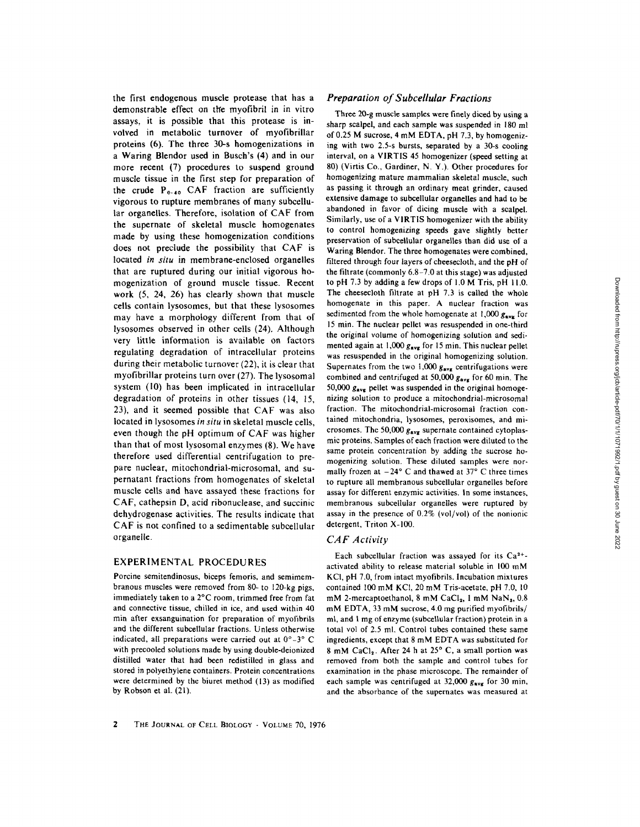the first endogenous muscle protease that has a demonstrable effect on the myofibril in in vitro assays, it is possible that this protease is involved in metabolic turnover of myofibrillar proteins (6). The three 30-s homogenizations in a Waring Blendor used in Busch's (4) and in our more recent (7) procedures to suspend ground muscle tissue in the first step for preparation of the crude  $P_{0-40}$  CAF fraction are sufficiently vigorous to rupture membranes of many subcellular organelles. Therefore, isolation of CAF from the supernate of skeletal muscle homogenates made by using these homogenization conditions does not preclude the possibility that CAF is located *in situ* in membrane-enclosed organelles that are ruptured during our initial vigorous homogenization of ground muscle tissue. Recent work (5, 24, 26) has clearly shown that muscle cells contain lysosomes, but that these lysosomes may have a morphology different from that of lysosomes observed in other cells (24). Although very little information is available on factors regulating degradation of intracellular proteins during their metabolic turnover (22), it is clear that myofibrillar proteins turn over (27). The lysosomal system (10) has been implicated in intracellular degradation of proteins in other tissues (14, 15, 23), and it seemed possible that CAF was also located in lysosomes *in situ* in skeletal muscle cells, even though the pH optimum of CAF was higher than that of most lysosomal enzymes (8). We have therefore used differential centrifugation to prepare nuclear, mitochondrial-microsomal, and supernatant fractions from homogenates of skeletal muscle cells and have assayed these fractions for CAF, cathepsin D, acid ribonuclease, and succinic dehydrogenase activities. The results indicate that CAF is not confined to a sedimentable subcellular organelle.

# EXPERIMENTAL PROCEDURES

Porcine semitendinosus, biceps femoris, and semimembranous muscles were removed from 80- to 120-kg pigs, immediately taken to a 2°C room, trimmed free from fat and connective tissue, chilled in ice, and used within 40 min after exsanguination for preparation of myofibrils and the different subcellular fractions. Unless otherwise indicated, all preparations were carried out at  $0^{\circ}$  -3° C with precooled solutions made by using double-deionized distilled water that had been redistilled in glass and stored in polyethylene containers. Protein concentrations were determined by the biuret method (13) as modified by Robson et aL (21).

## *Preparation of Subcellular Fractions*

Three 20-g muscle samples were finely diced by using a sharp scalpel, and each sample was suspended in 180 ml of 0.25 M sucrose, 4 mM EDTA, pH 7.3, by homogenizing with two 2.5-s bursts, separated by a 30-s cooling interval, on a VIRTIS 45 homogenizer (speed setting at 80) (Virtis Co., Gardiner, N. Y.). Other procedures for homogenizing mature mammalian skeletal muscle, such as passing it through an ordinary meat grinder, caused extensive damage to subcellular organelles and had to be abandoned in favor of dicing muscle with a scalpel. Similarly, use of a VIRTIS homogenizer with the ability to control homogenizing speeds gave slightly better preservation of subcellular organelles than did use of a Waring Blendor. The three homogenates were combined, filtered through four layers of cheesecloth, and the pH of the filtrate (commonly 6.8-7.0 at this stage) was adjusted to pH 7.3 by adding a few drops of 1.0 M Tris, pH 11.0. The cheesecloth filtrate at pH 7.3 is called the whole homogenate in this paper. A nuclear fraction was sedimented from the whole homogenate at 1,000  $g_{\text{avg}}$  for 15 min. The nuclear pellet was resuspended in one-third the original volume of homogenizing solution and sedimented again at 1,000  $g_{\text{avg}}$  for 15 min. This nuclear pellet was resuspended in the original homogenizing solution. Supernates from the two  $1,000$   $g_{\text{avg}}$  centrifugations were combined and centrifuged at 50,000  $g_{\text{avg}}$  for 60 min. The 50,000  $g_{\text{avg}}$  pellet was suspended in the original homogenizing solution to produce a mitochondrial-microsomal fraction. The mitochondrial-microsomal fraction contained mitochondria, lysosomes, peroxisomes, and microsomes. The 50,000  $g_{\text{avg}}$  supernate contained cytoplasmic proteins. Samples of each fraction were diluted to the same protein concentration by adding the sucrose homogenizing solution. These diluted samples were normally frozen at  $-24^{\circ}$  C and thawed at 37° C three times to rupture all membranous subcellular organelles before assay for different enzymic activities, in some instances, membranous subcellular organelles were ruptured by assay in the presence of 0.2% (vol/vol) of the nonionic detergent, Triton X-100.

## *CAF Activity*

Each subcellular fraction was assayed for its  $Ca^{2+}$ activated ability to release material soluble in 100 mM KCI, pH 7.0, from intact myofibrils. Incubation mixtures contained 100 mM KC1, 20 mM Tris-acetate, pH 7.0, 10 mM 2-mercaptoethanol, 8 mM CaCl<sub>2</sub>, 1 mM NaN<sub>2</sub>, 0.8 mM EDTA, 33 mM sucrose, 4.0 mg purified myofibrils/ ml, and 1 mg of enzyme (subcellular fraction) protein in a total vol of 2.5 ml. Control tubes contained these same ingredients, except that 8 mM EDTA was substituted for 8 mM CaCl<sub>2</sub>. After 24 h at 25° C, a small portion was removed from both the sample and control tubes for examination in the phase microscope. The remainder of each sample was centrifuged at 32,000  $g_{avg}$  for 30 min, and the absorbance of the supernates was measured at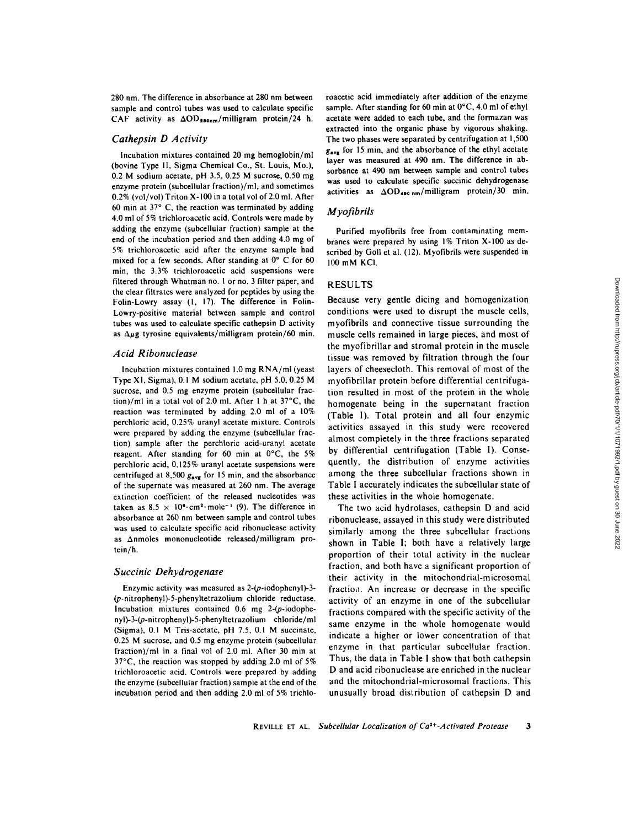280 nm. The difference in absorbance at 280 nm between sample and control tubes was used to calculate specific CAF activity as  $\Delta OD_{280nm}/$ milligram protein/24 h.

# *Cathepsin D Activity*

Incubation mixtures contained 20 mg hemoglobin/ml (bovine Type II, Sigma Chemical Co., St. Louis. Mo.), 0.2 M sodium acetate, pH 3.5, 0.25 M sucrose, 0.50 mg enzyme protein (subcellular fraction)/ml, and sometimes 0.2% (vol/vol) Triton X-100 in a total vol of 2.0 ml. After 60 min at  $37^{\circ}$  C, the reaction was terminated by adding 4.0 ml of 5% trichloroacetic acid. Controls were made by adding the enzyme (subcellular fraction) sample at the end of the incubation period and then adding 4.0 mg of 5% trichloroacetic acid after the enzyme sample had mixed for a few seconds. After standing at  $0^{\circ}$  C for 60 min, the 3.3% trichloroacetic acid suspensions were filtered through Whatman no. 1 or no. 3 filter paper, and the clear filtrates were analyzed for peptides by using the Folin-Lowry assay (1, 17). The difference in Folin-Lowry-positive material between sample and control tubes was used to calculate specific cathepsin D activity as  $\Delta \mu$ g tyrosine equivalents/milligram protein/60 min.

#### *A cid Ribonuclease*

Incubation mixtures contained 1.0 mg RNA/ml (yeast Type XI, Sigma), 0.1 M sodium acetate, pH 5.0, 0.25 M sucrose, and 0.5 mg enzyme protein (subcellular fraction)/ml in a total vol of 2.0 ml. After 1 h at  $37^{\circ}$ C, the reaction was terminated by adding 2.0 ml of a 10% perchloric acid, 0.25% uranyl acetate mixture. Controls were prepared by adding the enzyme (subcellular fraction) sample after the perchloric acid-uranyl acetate reagent. After standing for 60 min at  $0^{\circ}$ C, the 5% perchloric acid, 0.125% uranyl acetate suspensions were centrifuged at 8,500  $g_{\text{avg}}$  for 15 min, and the absorbance of the supernate was measured at 260 nm. The average extinction coefficient of the released nucleotides was taken as  $8.5 \times 10^{6}$  cm<sup>2</sup> mole<sup>-1</sup> (9). The difference in absorbance at 260 nm between sample and control tubes was used to calculate specific acid ribonuclease activity as Anmoles mononucleotide released/milligram protein/h.

#### *Succinic Dehydrogenase*

Enzymic activity was measured as 2-(p-iodophenyl)-3- (p-nitrophenyl)-5-phenyltetrazolium chloride reductase. Incubation mixtures contained 0.6 mg 2-(p-iodophenyl)-3-(p-nit rophenyl)-5-phenyltet razolium chloride/ml (Sigma), 0.1 M Tris-acetate, pH 7.5, 0.1 M succinate, 0.25 M sucrose, and 0.5 mg enzyme protein (subcellular fraction)/ml in a final vol of 2.0 ml. After 30 min at  $37^{\circ}$ C, the reaction was stopped by adding 2.0 ml of 5% trichloroacetic acid. Controls were prepared by adding the enzyme (subcellular fraction) sample at the end of the incubation period and then adding 2.0 ml of 5% trichlo-

roacetic acid immediately after addition of the enzyme sample. After standing for 60 min at  $0^{\circ}$ C, 4.0 ml of ethyl acetate were added to each tube, and the formazan was extracted into the organic phase by vigorous shaking. The two phases were separated by centrifugation at 1,500  $g_{\text{avg}}$  for 15 min, and the absorbance of the ethyl acetate layer was measured at 490 nm. The difference in absorbance at 490 nm between sample and control tubes was used to calculate specific succinic dehydrogenase activities as  $\Delta OD_{490\ nm}/$  milligram protein/30 min.

#### *M yofibrils*

Purified myofibrils free from contaminating membranes were prepared by using I% Triton X-100 as described by Goll et al. (12). Myofibrils were suspended in 100 mM KC1.

#### RESULTS

Because very gentle dicing and homogenization conditions were used to disrupt the muscle cells, myofibrils and connective tissue surrounding the muscle cells remained in large pieces, and most of the myofibrillar and stromal protein in the muscle tissue was removed by filtration through the four layers of cheesecloth. This removal of most of the myofibrillar protein before differential centrifugation resulted in most of the protein in the whole homogenate being in the supernatant fraction (Table I). Total protein and all four enzymic activities assayed in this study were recovered almost completely in the three fractions separated by differential centrifugation (Table 1). Consequently, the distribution of enzyme activities among the three subcellular fractions shown in Table I accurately indicates the subcellular state of these activities in the whole homogenate.

The two acid hydrolases, cathepsin D and acid ribonuclease, assayed in this study were distributed similarly among the three subcellular fractions shown in Table I; both have a relatively large proportion of their total activity in the nuclear fraction, and both have a significant proportion of their activity in the mitochondrial-microsomal fractioa. An increase or decrease in the specific activity of an enzyme in one of the subcellular fractions compared with the specific activity of the same enzyme in the whole homogenate would indicate a higher or lower concentration of that enzyme in that particular subcellular fraction. Thus, the data in Table I show that both cathepsin D and acid ribonuclease are enriched in the nuclear and the mitochondrial-microsomal fractions. This unusually broad distribution of cathepsin D and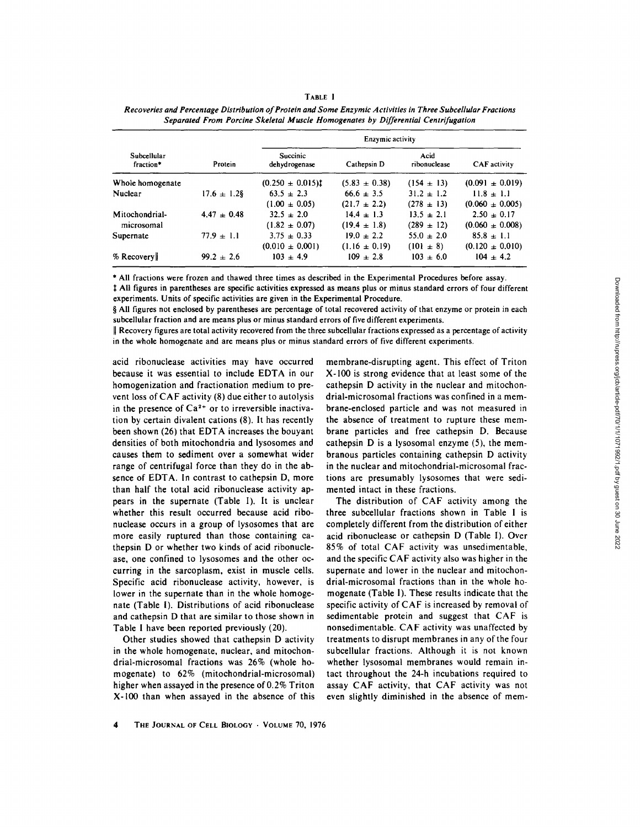| <br>۰. |  |
|--------|--|
|--------|--|

| Subcellular<br>fraction* | Protein          | Enzymic activity          |                   |                      |                     |
|--------------------------|------------------|---------------------------|-------------------|----------------------|---------------------|
|                          |                  | Succinic<br>dehydrogenase | Cathepsin D       | Acid<br>ribonuclease | CAF activity        |
| Whole homogenate         |                  | $(0.250 \pm 0.015)$       | $(5.83 \pm 0.38)$ | $(154 \pm 13)$       | $(0.091 \pm 0.019)$ |
| Nuclear                  | $17.6 \pm 1.2$ § | $63.5 \pm 2.3$            | $66.6 \pm 3.5$    | $31.2 \pm 1.2$       | $11.8 \pm 1.1$      |
|                          |                  | $(1.00 \pm 0.05)$         | $(21.7 \pm 2.2)$  | $(278 \pm 13)$       | $(0.060 \pm 0.005)$ |
| Mitochondrial-           | $4.47 \pm 0.48$  | $32.5 \pm 2.0$            | $14.4 \pm 1.3$    | $13.5 \pm 2.1$       | $2.50 \pm 0.17$     |
| microsomal               |                  | $(1.82 \pm 0.07)$         | $(19.4 \pm 1.8)$  | $(289 \pm 12)$       | $(0.060 \pm 0.008)$ |
| Supernate                | $77.9 \pm 1.1$   | $3.75 \pm 0.33$           | $19.0 \pm 2.2$    | $55.0 \pm 2.0$       | $85.8 \pm 1.1$      |
|                          |                  | $(0.010 \pm 0.001)$       | $(1.16 \pm 0.19)$ | $(101 \pm 8)$        | $(0.120 \pm 0.010)$ |
| $%$ Recovery             | $99.2 \pm 2.6$   | $103 \pm 4.9$             | $109 \pm 2.8$     | $103 \pm 6.0$        | $104 \pm 4.2$       |

| Recoveries and Percentage Distribution of Protein and Some Enzymic Activities in Three Subcellular Fractions |  |
|--------------------------------------------------------------------------------------------------------------|--|
| Separated From Porcine Skeletal Muscle Homogenates by Differential Centrifugation                            |  |

\* All fractions were frozen and thawed three times as described in the Experimental Procedures before assay.

 $\ddagger$  All figures in parentheses are specific activities expressed as means plus or minus standard errors of four different experiments. Units of specific activities are given in the Experimental Procedure.

§ All figures not enclosed by parentheses are percentage of total recovered activity of that enzyme or protein in each subcellular fraction and are means plus or minus standard errors of five different experiments.

 $\parallel$  Recovery figures are total activity recovered from the three subcellular fractions expressed as a percentage of activity in the whole homogenate and are means plus or minus standard errors of five different experiments.

acid ribonuclease activities may have occurred because it was essential to include EDTA in our homogenization and fractionation medium to prevent loss of CAF activity (8) due either to autolysis in the presence of  $Ca<sup>2+</sup>$  or to irreversible inactivation by certain divalent cations (8). It has recently been shown (26) that EDTA increases the bouyant densities of both mitochondria and lysosomes and causes them to sediment over a somewhat wider range of centrifugal force than they do in the absence of EDTA. In contrast to cathepsin D, more than half the total acid ribonuclease activity appears in the supernate (Table I). It is unclear whether this result occurred because acid ribonuclease occurs in a group of lysosomes that are more easily ruptured than those containing eathepsin D or whether two kinds of acid ribonuclease, one confined to lysosomes and the other occurring in the sarcoplasm, exist in muscle cells. Specific acid ribonuclease activity, however, is lower in the supernate than in the whole homogenate (Table i). Distributions of acid ribonuclease and cathepsin D that are similar to those shown in Table 1 have been reported previously (20).

Other studies showed that cathepsin D activity in the whole homogenate, nuclear, and mitochondrial-microsomal fractions was 26% (whole homogenate) to 62% (mitochondrial-microsomai) higher when assayed in the presence of 0.2% Triton X-100 than when assayed in the absence of this

membrane-disrupting agent. This effect of Triton X-100 is strong evidence that at least some of the cathepsin D activity in the nuclear and mitochondrial-microsomal fractions was confined in a membrane-enclosed particle and was not measured in the absence of treatment to rupture these membrane particles and free cathepsin D. Because cathepsin D is a lysosomal enzyme (5), the membranous particles containing cathepsin D activity in the nuclear and mitochondrial-microsomal fractions are presumably lysosomes that were sedimented intact in these fractions.

The distribution of CAF activity among the three subcellular fractions shown in Table I is completely different from the distribution of either acid ribonuclease or cathepsin D (Table I). Over 85% of total CAF activity was unsedimentable, and the specific CAF activity also was higher in the supernate and lower in the nuclear and mitochondrial-microsomal fractions than in the whole homogenate (Table I). These results indicate that the specific activity of CAF is increased by removal of sedimentable protein and suggest that CAF is nonsedimentable. CAF activity was unaffected by treatments to disrupt membranes in any of the four subcellular fractions. Although it is not known whether lysosomal membranes would remain intact throughout the 24-h incubations required to assay CAF activity, that CAF activity was not even slightly diminished in the absence of mem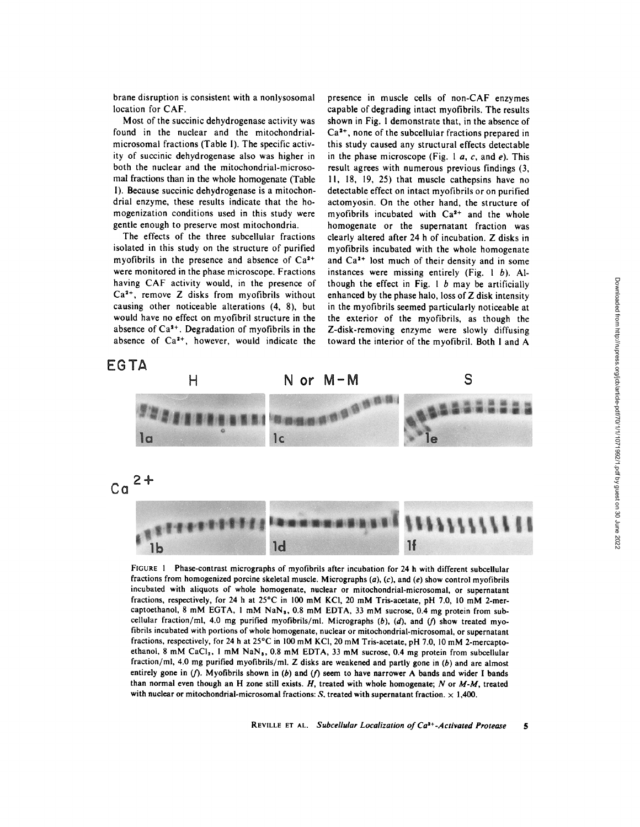brahe disruption is consistent with a nonlysosomal location for CAF.

Most of the succinic dehydrogenase activity was found in the nuclear and the mitochondrialmicrosomal fractions (Table 1). The specific activity of succinic dehydrogenase also was higher in both the nuclear and the mitochondrial-microsomal fractions than in the whole homogenate (Table I). Because succinic dehydrogenase is a mitochondrial enzyme, these results indicate that the homogenization conditions used in this study were gentle enough to preserve most mitochondria.

The effects of the three subcellular fractions isolated in this study on the structure of purified myofibrils in the presence and absence of  $Ca<sup>2+</sup>$ were monitored in the phase microscope. Fractions having CAF activity would, in the presence of  $Ca<sup>2+</sup>$ , remove Z disks from myofibrils without causing other noticeable alterations (4, 8), but would have no effect on myofibril structure in the absence of  $Ca<sup>2+</sup>$ . Degradation of myofibrils in the absence of  $Ca<sup>2+</sup>$ , however, would indicate the presence in muscle cells of non-CAF enzymes capable of degrading intact myofibrils. The results shown in Fig. I demonstrate that, in the absence of  $Ca<sup>2+</sup>$ , none of the subcellular fractions prepared in this study caused any structural effects detectable in the phase microscope (Fig. 1  $a$ ,  $c$ , and  $e$ ). This result agrees with numerous previous findings (3, l I, 18, 19, 25) that muscle cathepsins have no detectable effect on intact myofibrils or on purified actomyosin. On the other hand, the structure of myofibrils incubated with  $Ca<sup>2+</sup>$  and the whole homogenate or the supernatant fraction was clearly altered after 24 h of incubation. Z disks in myofibrils incubated with the whole homogenate and  $Ca<sup>2+</sup>$  lost much of their density and in some instances were missing entirely (Fig.  $1 \; b$ ). Although the effect in Fig. 1  $b$  may be artificially enhanced by the phase halo, loss of Z disk intensity in the myofibrils seemed particularly noticeable at the exterior of the myofibrils, as though the Z-disk-removing enzyme were slowly diffusing toward the interior of the myofibril. Both I and A

EGTA



FIGURE I Phase-contrast micrographs of myofibrils after incubation for 24 h with different subceilular fractions from homogenized porcine skeletal muscle. Micrographs  $(a)$ ,  $(c)$ , and  $(e)$  show control myofibrils incubated with aliquots of whole homogenate, nuclear or mitochondrial-microsomal, or supernatant fractions, respectively, for 24 h at  $25^{\circ}$ C in 100 mM KCl, 20 mM Tris-acetate, pH 7.0, 10 mM 2-mercaptoethanol, 8 mM EGTA, 1 mM NaN<sub>3</sub>, 0.8 mM EDTA, 33 mM sucrose, 0.4 mg protein from subcellular fraction/ml, 4.0 mg purified myofibrils/ml. Micrographs  $(b)$ ,  $(d)$ , and  $(f)$  show treated myofibrils incubated with portions of whole homogenate, nuclear or mitochondrial-microsomai, or supernatant fractions, respectively, for 24 h at 25°C in 100 mM KCl, 20 mM Tris-acetate, pH 7.0, 10 mM 2-mercaptoethanol, 8 mM CaCl<sub>2</sub>, 1 mM NaN<sub>s</sub>, 0.8 mM EDTA, 33 mM sucrose, 0.4 mg protein from subcellular fraction/ml, 4.0 mg purified myofibrils/ml. Z disks are weakened and partly gone in  $(b)$  and are almost entirely gone in (f). Myofibrils shown in (b) and (f) seem to have narrower A bands and wider I bands **than normal even though an H zone still exists. H, treated with whole homogenate; N or** *M-M,* treated with nuclear or mitochondrial-microsomal fractions:  $S$ , treated with supernatant fraction.  $\times$  1,400.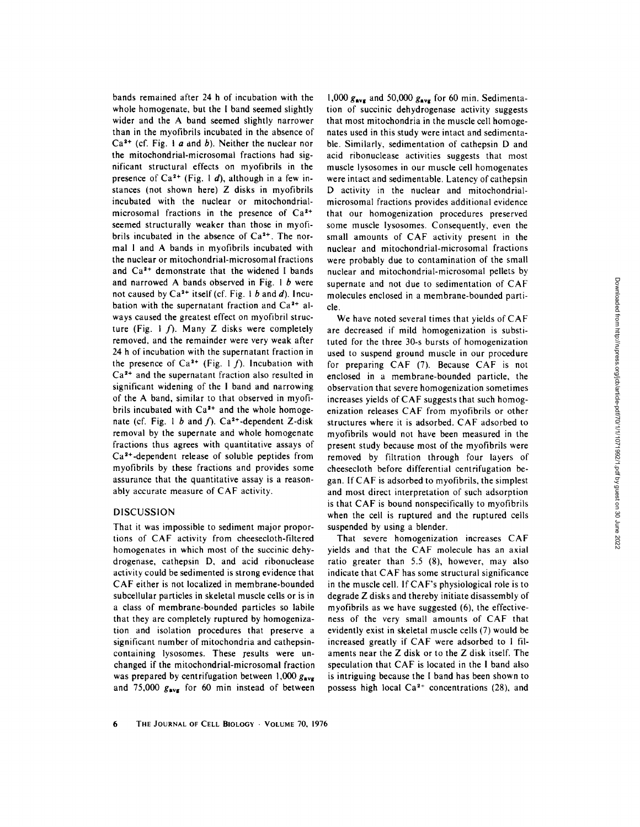bands remained after 24 h of incubation with the whole homogenate, but the I band seemed slightly wider and the A band seemed slightly narrower than in the myofibrils incubated in the absence of  $Ca<sup>2+</sup>$  (cf. Fig. 1 a and b). Neither the nuclear nor the mitochondrial-microsomal fractions had significant structural effects on myofibrils in the presence of  $Ca^{2+}$  (Fig. 1 d), although in a few instances (not shown here) Z disks in myofibrils incubated with the nuclear or mitochondrialmicrosomal fractions in the presence of  $Ca<sup>2+</sup>$ seemed structurally weaker than those in myofibrils incubated in the absence of  $Ca<sup>2+</sup>$ . The normal I and A bands in myofibrils incubated with the nuclear or mitochondrial-microsomal fractions and  $Ca<sup>2+</sup>$  demonstrate that the widened I bands and narrowed A bands observed in Fig. 1 b were not caused by  $Ca<sup>2+</sup>$  itself (cf. Fig. 1 b and d). Incubation with the supernatant fraction and  $Ca<sup>2+</sup>$  always caused the greatest effect on myofibril structure (Fig. 1  $f$ ). Many Z disks were completely removed, and the remainder were very weak after 24 h of incubation with the supernatant fraction in the presence of  $Ca^{2+}$  (Fig. 1 f). Incubation with  $Ca<sup>2+</sup>$  and the supernatant fraction also resulted in significant widening of the I band and narrowing of the A band, similar to that observed in myofibrils incubated with  $Ca<sup>2+</sup>$  and the whole homogenate (cf. Fig. 1 b and f).  $Ca^{2+}$ -dependent Z-disk removal by the supernate and whole homogenate fractions thus agrees with quantitative assays of  $Ca<sup>2+</sup>$ -dependent release of soluble peptides from myofibrils by these fractions and provides some assurance that the quantitative assay is a reasonably accurate measure of CAF activity.

# DISCUSSION

That it was impossible to sediment major proportions of CAF activity from cheesecloth-filtered homogenates in which most of the succinic dehydrogenase, cathepsin D, and acid ribonuclease activity could be sedimented is strong evidence that CAF either is not localized in membrane-bounded subcellular particles in skeletal muscle cells or is in a class of membrane-bounded particles so labile that they are completely ruptured by homogenization and isolation procedures that preserve a significant number of mitochondria and cathepsincontaining lysosomes. These results were unchanged if the mitochondrial-microsomal fraction was prepared by centrifugation between 1,000  $g_{\text{avg}}$ and 75,000  $g_{\text{avg}}$  for 60 min instead of between

1,000  $g_{\text{avg}}$  and 50,000  $g_{\text{avg}}$  for 60 min. Sedimentation of succinic dehydrogenase activity suggests that most mitochondria in the muscle cell homogehates used in this study were intact and sedimentable. Similarly, sedimentation of cathepsin D and acid ribonuclease activities suggests that most muscle lysosomes in our muscle cell homogenates were intact and sedimentable. Latency of cathepsin D activity in the nuclear and mitochondrialmicrosomal fractions provides additional evidence that our homogenization procedures preserved some muscle lysosomes. Consequently, even the small amounts of CAF activity present in the nuclear and mitochondrial-microsomal fractions were probably due to contamination of the small nuclear and mitochondrial-microsomal pellets by supernate and not due to sedimentation of CAF molecules enclosed in a membrane-bounded particle.

We have noted several times that yields of CAF are decreased if mild homogenization is substituted for the three 30-s bursts of homogenization used to suspend ground muscle in our procedure for preparing CAF (7). Because CAF is not enclosed in a membrane-bounded particle, the observation that severe homogenization sometimes increases yields of CAF suggests that such homogenization releases CAF from myofibrils or other structures where it is adsorbed. CAF adsorbed to myofibrils would not have been measured in the present study because most of the myofibrils were removed by filtration through four layers of cheesecloth before differential centrifugation began. If CAF is adsorbed to myofibrils, the simplest and most direct interpretation of such adsorption is that CAF is bound nonspecifically to myofibrils when the cell is ruptured and the ruptured cells suspended by using a blender.

That severe homogenization increases CAF yields and that the CAF molecule has an axial ratio greater than 5.5 (8), however, may also indicate that CAF has some structural significance in the muscle cell. If CAF's physiological role is to degrade Z disks and thereby initiate disassembly of myofibrils as we have suggested (6), the effectiveness of the very small amounts of CAF that evidently exist in skeletal muscle cells (7) would be increased greatly if CAF were adsorbed to I filaments near the Z disk or to the Z disk itself. The speculation that CAF is located in the 1 band also is intriguing because the I band has been shown to possess high local  $Ca<sup>2+</sup>$  concentrations (28), and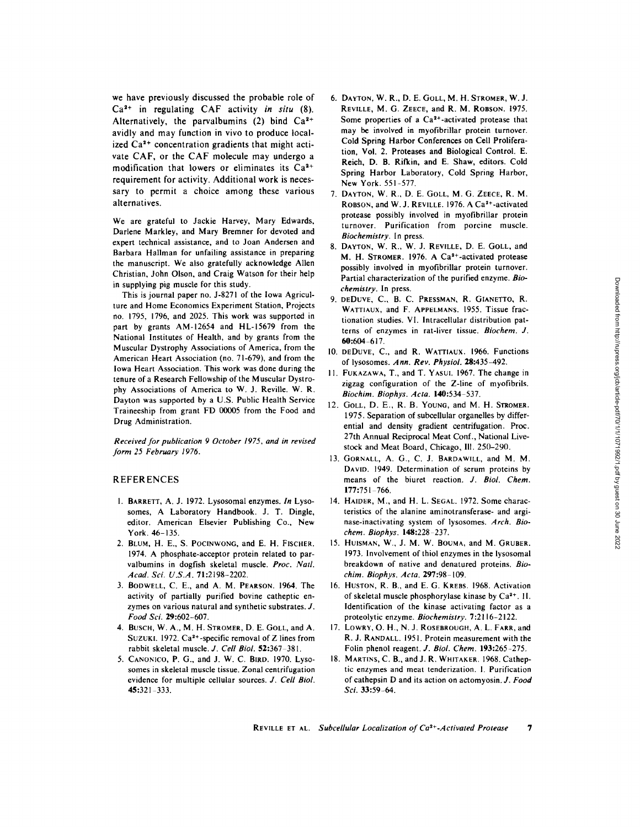we have previously discussed the probable role of Ca 2+ in regulating CAF activity *in situ* (8). Alternatively, the parvalbumins  $(2)$  bind  $Ca<sup>2+</sup>$ avidly and may function in vivo to produce localized  $Ca<sup>2+</sup>$  concentration gradients that might activate CAF, or the CAF molecule may undergo a modification that lowers or eliminates its  $Ca<sup>2+</sup>$ requirement for activity. Additional work is necessary to permit a choice among these various alternatives.

We are grateful to Jackie Harvey, Mary Edwards, Darlene Markley, and Mary Bremner for devoted and expert technical assistance, and to Joan Andersen and Barbara Hallman for unfailing assistance in preparing the manuscript. We also gratefully acknowledge Allen Christian, John Olson, and Craig Watson for their help in supplying pig muscle for this study.

This is journal paper no. J-8271 of the Iowa Agriculture and Home Economics Experiment Station, Projects no. 1795, 1796, and 2025. This work was supported in part by grants AM-12654 and HL-15679 from the National Institutes of Health, and by grants from the Muscular Dystrophy Associations of America, from the American Heart Association (no. 71-679), and from the iowa Heart Association. This work was done during the tenure of a Research Fellowship of the Muscular Dystrophy Associations of America to W. J. Reville. W. R. Dayton was supported by a U.S. Public Health Service Traineeship from grant FD 00005 from the Food and Drug Administration.

*Received for publication 9 October 1975, and in revised form 25 February 1976.* 

#### REFERENCES

- 1. BARRETT, A. J. 1972. Lysosomal enzymes. *In* Lysosomes, A Laboratory Handbook. J. T. Dingle, editor. American Elsevier Publishing Co., New York. 46-135.
- 2. BLUM, H. E., S. POCINWONG, and E. H. FISCHER. 1974. A phosphate-acceptor protein related to parvalbumins in dogfish skeletal muscle. *Proc. Natl. Acad. Sci. U.S.A.* 71:2198-2202.
- 3. BODWELL, C. E., and A. M. PEARSON. 1964. The activity of partially purified bovine catheptic enzymes on various natural and synthetic substrates. J. *Food Sci.* 29:602-607.
- 4. BUSCH, W. A., M. H. STROMER, D. E. GOLL, and A. SUZUKI. 1972.  $Ca^{2+}$ -specific removal of Z lines from rabbit skeletal muscle. *J. Cell Biol.* 52:367-381.
- 5. CANONICO, P. G., and J. W. C. BIRD. 1970. Lysosomes in skeletal muscle tissue. Zonal centrifugation evidence for multiple cellular sources. *J. Cell Biol.*  45:321-333.
- 6. DAYTON, W. R., D. E. GOLL, M. H. STROMER, W. J. REVILLE, M. G. ZEECE, and R. M. ROBSON. 1975. Some properties of a  $Ca<sup>2+</sup>$ -activated protease that may be involved in myofibrillar protein turnover. Cold Spring Harbor Conferences on Cell Proliferation, Vol. 2. Proteases and Biological Control. E. Reich, D. B. Rifkin, and E. Shaw, editors. Cold Spring Harbor Laboratory, Cold Spring Harbor, New York. 551-577.
- 7. DAYTON, W. R., D. E. GOLL, M. G. ZEECE, R. M. ROBSON, and W. J. REVILLE. 1976. A Ca<sup>2+</sup>-activated protease possibly involved in myofibrillar protein turnover. Purification from porcine muscle. *Biochemistry.* In press.
- 8. DAYTON, W. R., W. J. REVILLE, D. E. GOLL, and M. H. STROMER. 1976. A Ca<sup>2+</sup>-activated protease possibly involved in myofibrillar protein turnover. Partial characterization of the purified enzyme. *Biochemistry.* In press.
- 9. DEDUVE, C., B. C. PRESSMAN, R. GIANETTO, R. WATTIAUX, and F. APPELMANS. 1955. Tissue fractionation studies. VI. Intracellular distribution patterns of enzymes in rat-liver tissue. *Biochem. J.*  60:604 617.
- 10. DEDUVE, C., and R. WATTIAUX. 1966. Functions of lysosomes. *Ann. Rev. Physiol.* 28:435-492.
- 11. FUKAZAWA, T., and T. YASUI. 1967. The change in zigzag configuration of the Z-line of myofibrils. *Biochim. Biophys. Acta.* **140:**534-537.
- 12. GOLL, D. E., R. B. YOUNG, and M. H. STROMER. 1975. Separation of subcellular organelles by differential and density gradient centrifugation. Proc. 27th Annual Reciprocal Meat Conf., National Livestock and Meat Board, Chicago, III. 250-290.
- 13. GORNALL, A. G., C. J. BARDAWlLL, and M. M. DAVID. 1949. Determination of serum proteins by means of the biuret reaction. *J. Biol. Chem.*  177:751-766.
- 14. HAIDER, M., and H. L. SEGAL. 1972. Some characteristics of the alanine aminotransferase- and arginase-inactivating system of lysosomes. *Arch. Biochem. Biophys.* 148:228-237.
- 15. HUISMAN, W., J. M. W. BOUMA, and M. GRUBER. 1973. involvement of thiol enzymes in the lysosomal breakdown of native and denatured proteins. *Biochim. Biophys. Acta.* 297:98-109.
- 16. HUSTON, R. B., and E. G. KREBS. 1968. Activation of skeletal muscle phosphorylase kinase by  $Ca<sup>2+</sup>$ . II. Identification of the kinase activating factor as a proteolytic enzyme. *Biochemistry.* 7:2116-2122.
- 17. LOWRY, O. H., N. J. ROSEBROUGH, A. L. FARR, and R. J. RANDALL. 1951. Protein measurement with the Folin phenol reagent. *J. Biol. Chem.* 193:265-275.
- 18. MARTINS, C. B., and J. R. WHITAKER. 1968. Catheptic enzymes and meat tenderization. I. Purification of cathepsin D and its action on aetomyosin. *J. Food Sci.* 33:59-64.

REVILLE ET AL. Subcellular Localization of Ca<sup>2+</sup>-Activated Protease 7